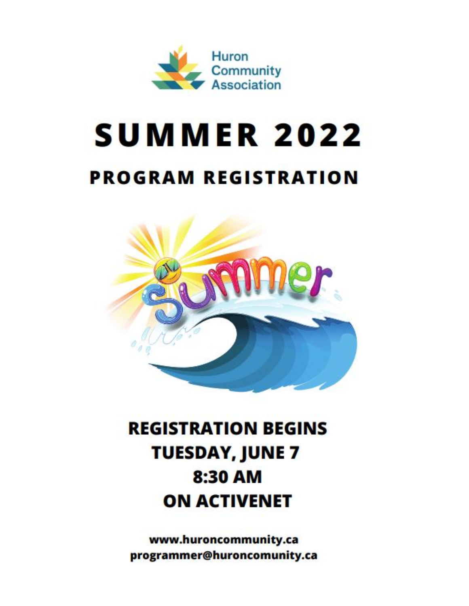

# **SUMMER 2022 PROGRAM REGISTRATION**



## **REGISTRATION BEGINS TUESDAY, JUNE 7** 8:30 AM **ON ACTIVENET**

www.huroncommunity.ca programmer@huroncomunity.ca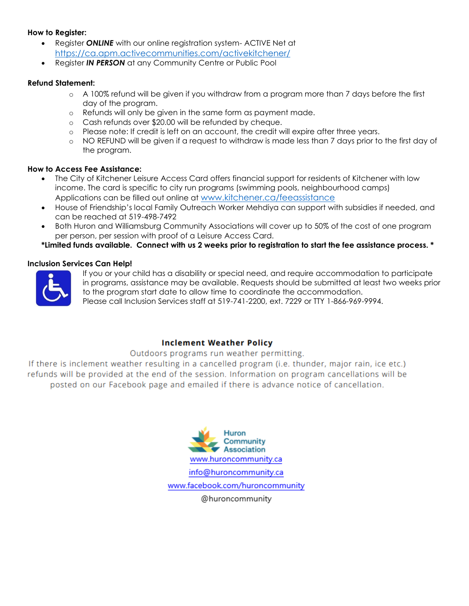#### **How to Register:**

- Register *ONLINE* with our online registration system- ACTIVE Net at <https://ca.apm.activecommunities.com/activekitchener/>
- Register *IN PERSON* at any Community Centre or Public Pool

#### **Refund Statement:**

- o A 100% refund will be given if you withdraw from a program more than 7 days before the first day of the program.
- o Refunds will only be given in the same form as payment made.
- o Cash refunds over \$20.00 will be refunded by cheque.
- o Please note: If credit is left on an account, the credit will expire after three years.
- o NO REFUND will be given if a request to withdraw is made less than 7 days prior to the first day of the program.

#### **How to Access Fee Assistance:**

- The City of Kitchener Leisure Access Card offers financial support for residents of Kitchener with low income. The card is specific to city run programs (swimming pools, neighbourhood camps) Applications can be filled out online at [www.kitchener.ca/feeassistance](http://www.kitchener.ca/feeassistance)
- House of Friendship's local Family Outreach Worker Mehdiya can support with subsidies if needed, and can be reached at 519-498-7492
- Both Huron and Williamsburg Community Associations will cover up to 50% of the cost of one program per person, per session with proof of a Leisure Access Card.

**\*Limited funds available. Connect with us 2 weeks prior to registration to start the fee assistance process. \***

#### **Inclusion Services Can Help!**



If you or your child has a disability or special need, and require accommodation to participate in programs, assistance may be available. Requests should be submitted at least two weeks prior to the program start date to allow time to coordinate the accommodation.

Please call Inclusion Services staff at 519-741-2200, ext. 7229 or TTY 1-866-969-9994.

#### **Inclement Weather Policy**

#### Outdoors programs run weather permitting.

If there is inclement weather resulting in a cancelled program (i.e. thunder, major rain, ice etc.) refunds will be provided at the end of the session. Information on program cancellations will be posted on our Facebook page and emailed if there is advance notice of cancellation.



@huroncommunity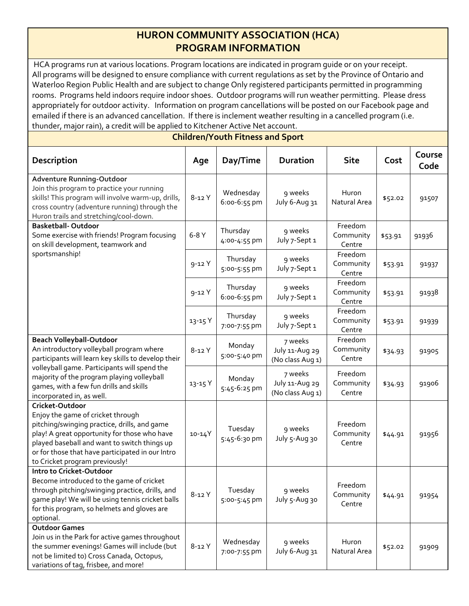### **HURON COMMUNITY ASSOCIATION (HCA) PROGRAM INFORMATION**

HCA programs run at various locations. Program locations are indicated in program guide or on your receipt. All programs will be designed to ensure compliance with current regulations as set by the Province of Ontario and Waterloo Region Public Health and are subject to change Only registered participants permitted in programming rooms. Programs held indoors require indoor shoes. Outdoor programs will run weather permitting. Please dress appropriately for outdoor activity. Information on program cancellations will be posted on our Facebook page and emailed if there is an advanced cancellation. If there is inclement weather resulting in a cancelled program (i.e. thunder, major rain), a credit will be applied to Kitchener Active Net account.

**Children/Youth Fitness and Sport**

| <b>Description</b>                                                                                                                                                                                                                                                                                       | Age       | Day/Time                  | <b>Duration</b>                               | <b>Site</b>                    | Cost    | Course<br>Code |
|----------------------------------------------------------------------------------------------------------------------------------------------------------------------------------------------------------------------------------------------------------------------------------------------------------|-----------|---------------------------|-----------------------------------------------|--------------------------------|---------|----------------|
| <b>Adventure Running-Outdoor</b><br>Join this program to practice your running<br>skills! This program will involve warm-up, drills,<br>cross country (adventure running) through the<br>Huron trails and stretching/cool-down.                                                                          | $8 - 12Y$ | Wednesday<br>6:00-6:55 pm | 9 weeks<br>July 6-Aug 31                      | Huron<br>Natural Area          | \$52.02 | 91507          |
| <b>Basketball-Outdoor</b><br>Some exercise with friends! Program focusing<br>on skill development, teamwork and                                                                                                                                                                                          | $6-8Y$    | Thursday<br>4:00-4:55 pm  | 9 weeks<br>July 7-Sept 1                      | Freedom<br>Community<br>Centre | \$53.91 | 91936          |
| sportsmanship!                                                                                                                                                                                                                                                                                           | $9 - 12Y$ | Thursday<br>5:00-5:55 pm  | 9 weeks<br>July 7-Sept 1                      | Freedom<br>Community<br>Centre | \$53.91 | 91937          |
|                                                                                                                                                                                                                                                                                                          | $9 - 12Y$ | Thursday<br>6:00-6:55 pm  | 9 weeks<br>July 7-Sept 1                      | Freedom<br>Community<br>Centre | \$53.91 | 91938          |
|                                                                                                                                                                                                                                                                                                          | 13-15 Y   | Thursday<br>7:00-7:55 pm  | 9 weeks<br>July 7-Sept 1                      | Freedom<br>Community<br>Centre | \$53.91 | 91939          |
| <b>Beach Volleyball-Outdoor</b><br>An introductory volleyball program where<br>participants will learn key skills to develop their<br>volleyball game. Participants will spend the<br>majority of the program playing volleyball<br>games, with a few fun drills and skills<br>incorporated in, as well. | 8-12 Y    | Monday<br>5:00-5:40 pm    | 7 weeks<br>July 11-Aug 29<br>(No class Aug 1) | Freedom<br>Community<br>Centre | \$34.93 | 91905          |
|                                                                                                                                                                                                                                                                                                          | 13-15 Y   | Monday<br>5:45-6:25 pm    | 7 weeks<br>July 11-Aug 29<br>(No class Aug 1) | Freedom<br>Community<br>Centre | \$34.93 | 91906          |
| Cricket-Outdoor<br>Enjoy the game of cricket through<br>pitching/swinging practice, drills, and game<br>play! A great opportunity for those who have<br>played baseball and want to switch things up<br>or for those that have participated in our Intro<br>to Cricket program previously!               | 10-14Y    | Tuesday<br>5:45-6:30 pm   | 9 weeks<br>July 5-Aug 30                      | Freedom<br>Community<br>Centre | \$44.91 | 91956          |
| Intro to Cricket-Outdoor<br>Become introduced to the game of cricket<br>through pitching/swinging practice, drills, and<br>game play! We will be using tennis cricket balls<br>for this program, so helmets and gloves are<br>optional.                                                                  | $8-12$ Y  | Tuesday<br>5:00-5:45 pm   | 9 weeks<br>July 5-Aug 30                      | Freedom<br>Community<br>Centre | \$44.91 | 91954          |
| <b>Outdoor Games</b><br>Join us in the Park for active games throughout<br>the summer evenings! Games will include (but<br>not be limited to) Cross Canada, Octopus,<br>variations of tag, frisbee, and more!                                                                                            | $8-12$ Y  | Wednesday<br>7:00-7:55 pm | 9 weeks<br>July 6-Aug 31                      | Huron<br>Natural Area          | \$52.02 | 91909          |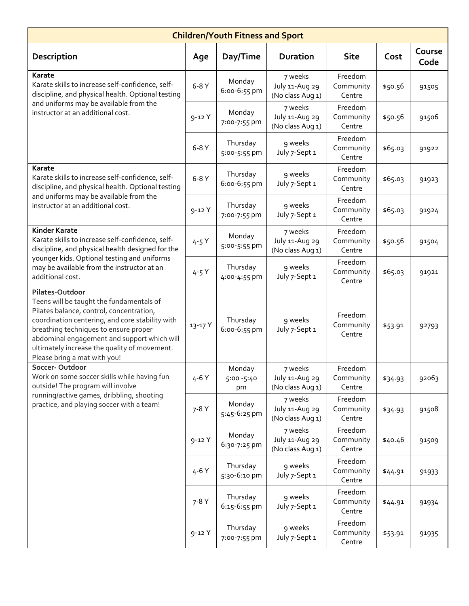| <b>Children/Youth Fitness and Sport</b>                                                                                                                                                                                                                                                                                            |           |                             |                                               |                                |         |                |
|------------------------------------------------------------------------------------------------------------------------------------------------------------------------------------------------------------------------------------------------------------------------------------------------------------------------------------|-----------|-----------------------------|-----------------------------------------------|--------------------------------|---------|----------------|
| Description                                                                                                                                                                                                                                                                                                                        | Age       | Day/Time                    | <b>Duration</b>                               | <b>Site</b>                    | Cost    | Course<br>Code |
| <b>Karate</b><br>Karate skills to increase self-confidence, self-<br>discipline, and physical health. Optional testing<br>and uniforms may be available from the<br>instructor at an additional cost.                                                                                                                              | $6-8Y$    | Monday<br>6:00-6:55 pm      | 7 weeks<br>July 11-Aug 29<br>(No class Aug 1) | Freedom<br>Community<br>Centre | \$50.56 | 91505          |
|                                                                                                                                                                                                                                                                                                                                    | $9 - 12Y$ | Monday<br>7:00-7:55 pm      | 7 weeks<br>July 11-Aug 29<br>(No class Aug 1) | Freedom<br>Community<br>Centre | \$50.56 | 91506          |
|                                                                                                                                                                                                                                                                                                                                    | $6-8Y$    | Thursday<br>5:00-5:55 pm    | 9 weeks<br>July 7-Sept 1                      | Freedom<br>Community<br>Centre | \$65.03 | 91922          |
| Karate<br>Karate skills to increase self-confidence, self-<br>discipline, and physical health. Optional testing                                                                                                                                                                                                                    | $6-8Y$    | Thursday<br>6:00-6:55 pm    | 9 weeks<br>July 7-Sept 1                      | Freedom<br>Community<br>Centre | \$65.03 | 91923          |
| and uniforms may be available from the<br>instructor at an additional cost.                                                                                                                                                                                                                                                        | $9 - 12Y$ | Thursday<br>7:00-7:55 pm    | 9 weeks<br>July 7-Sept 1                      | Freedom<br>Community<br>Centre | \$65.03 | 91924          |
| <b>Kinder Karate</b><br>Karate skills to increase self-confidence, self-<br>discipline, and physical health designed for the<br>younger kids. Optional testing and uniforms<br>may be available from the instructor at an<br>additional cost.                                                                                      | $4 - 5Y$  | Monday<br>5:00-5:55 pm      | 7 weeks<br>July 11-Aug 29<br>(No class Aug 1) | Freedom<br>Community<br>Centre | \$50.56 | 91504          |
|                                                                                                                                                                                                                                                                                                                                    | $4 - 5Y$  | Thursday<br>4:00-4:55 pm    | 9 weeks<br>July 7-Sept 1                      | Freedom<br>Community<br>Centre | \$65.03 | 91921          |
| Pilates-Outdoor<br>Teens will be taught the fundamentals of<br>Pilates balance, control, concentration,<br>coordination centering, and core stability with<br>breathing techniques to ensure proper<br>abdominal engagement and support which will<br>ultimately increase the quality of movement.<br>Please bring a mat with you! | 13-17 Y   | Thursday<br>6:00-6:55 pm    | 9 weeks<br>July 7-Sept 1                      | Freedom<br>Community<br>Centre | \$53.91 | 92793          |
| Soccer-Outdoor<br>Work on some soccer skills while having fun<br>outside! The program will involve<br>running/active games, dribbling, shooting<br>practice, and playing soccer with a team!                                                                                                                                       | 4-6 Y     | Monday<br>5:00 - 5:40<br>pm | 7 weeks<br>July 11-Aug 29<br>(No class Aug 1) | Freedom<br>Community<br>Centre | \$34.93 | 92063          |
|                                                                                                                                                                                                                                                                                                                                    | $7 - 8Y$  | Monday<br>5:45-6:25 pm      | 7 weeks<br>July 11-Aug 29<br>(No class Aug 1) | Freedom<br>Community<br>Centre | \$34.93 | 91508          |
|                                                                                                                                                                                                                                                                                                                                    | $9 - 12Y$ | Monday<br>6:30-7:25 pm      | 7 weeks<br>July 11-Aug 29<br>(No class Aug 1) | Freedom<br>Community<br>Centre | \$40.46 | 91509          |
|                                                                                                                                                                                                                                                                                                                                    | $4 - 6Y$  | Thursday<br>5:30-6:10 pm    | 9 weeks<br>July 7-Sept 1                      | Freedom<br>Community<br>Centre | \$44.91 | 91933          |
|                                                                                                                                                                                                                                                                                                                                    | $7 - 8Y$  | Thursday<br>6:15-6:55 pm    | 9 weeks<br>July 7-Sept 1                      | Freedom<br>Community<br>Centre | \$44.91 | 91934          |
|                                                                                                                                                                                                                                                                                                                                    | $9 - 12Y$ | Thursday<br>7:00-7:55 pm    | 9 weeks<br>July 7-Sept 1                      | Freedom<br>Community<br>Centre | \$53.91 | 91935          |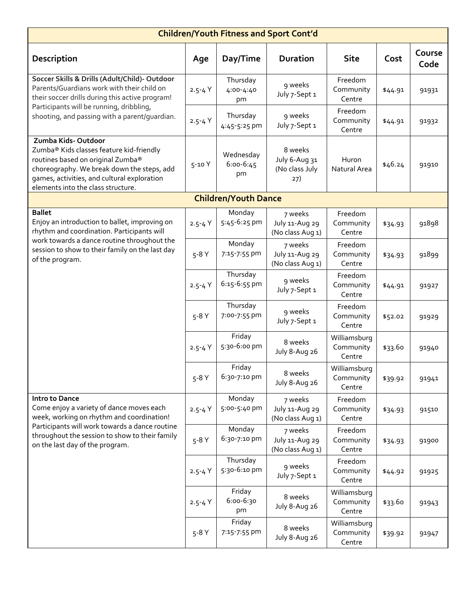| <b>Children/Youth Fitness and Sport Cont'd</b>                                                                                                                                                                                                 |            |                              |                                                   |                                     |         |                |
|------------------------------------------------------------------------------------------------------------------------------------------------------------------------------------------------------------------------------------------------|------------|------------------------------|---------------------------------------------------|-------------------------------------|---------|----------------|
| <b>Description</b>                                                                                                                                                                                                                             | Age        | Day/Time                     | <b>Duration</b>                                   | <b>Site</b>                         | Cost    | Course<br>Code |
| Soccer Skills & Drills (Adult/Child)- Outdoor<br>Parents/Guardians work with their child on<br>their soccer drills during this active program!<br>Participants will be running, dribbling,<br>shooting, and passing with a parent/quardian.    | $2.5 - 4Y$ | Thursday<br>4:00-4:40<br>pm  | 9 weeks<br>July 7-Sept 1                          | Freedom<br>Community<br>Centre      | \$44.91 | 91931          |
|                                                                                                                                                                                                                                                | $2.5 - 4Y$ | Thursday<br>4:45-5:25 pm     | 9 weeks<br>July 7-Sept 1                          | Freedom<br>Community<br>Centre      | \$44.91 | 91932          |
| Zumba Kids-Outdoor<br>Zumba® Kids classes feature kid-friendly<br>routines based on original Zumba®<br>choreography. We break down the steps, add<br>games, activities, and cultural exploration<br>elements into the class structure.         | $5 - 10Y$  | Wednesday<br>6:00-6:45<br>pm | 8 weeks<br>July 6-Aug 31<br>(No class July<br>27) | Huron<br>Natural Area               | \$46.24 | 91910          |
|                                                                                                                                                                                                                                                |            | <b>Children/Youth Dance</b>  |                                                   |                                     |         |                |
| <b>Ballet</b><br>Enjoy an introduction to ballet, improving on<br>rhythm and coordination. Participants will<br>work towards a dance routine throughout the<br>session to show to their family on the last day<br>of the program.              | $2.5 - 4Y$ | Monday<br>5:45-6:25 pm       | 7 weeks<br>July 11-Aug 29<br>(No class Aug 1)     | Freedom<br>Community<br>Centre      | \$34.93 | 91898          |
|                                                                                                                                                                                                                                                | $5-8Y$     | Monday<br>7:15-7:55 pm       | 7 weeks<br>July 11-Aug 29<br>(No class Aug 1)     | Freedom<br>Community<br>Centre      | \$34.93 | 91899          |
|                                                                                                                                                                                                                                                | $2.5 - 4Y$ | Thursday<br>6:15-6:55 pm     | 9 weeks<br>July 7-Sept 1                          | Freedom<br>Community<br>Centre      | \$44.91 | 91927          |
|                                                                                                                                                                                                                                                | $5-8Y$     | Thursday<br>7:00-7:55 pm     | 9 weeks<br>July 7-Sept 1                          | Freedom<br>Community<br>Centre      | \$52.02 | 91929          |
|                                                                                                                                                                                                                                                | $2.5 - 4Y$ | Friday<br>5:30-6:00 pm       | 8 weeks<br>July 8-Aug 26                          | Williamsburg<br>Community<br>Centre | \$33.60 | 91940          |
|                                                                                                                                                                                                                                                | $5-8Y$     | Friday<br>6:30-7:10 pm       | 8 weeks<br>July 8-Aug 26                          | Williamsburg<br>Community<br>Centre | \$39.92 | 91941          |
| Intro to Dance<br>Come enjoy a variety of dance moves each<br>week, working on rhythm and coordination!<br>Participants will work towards a dance routine<br>throughout the session to show to their family<br>on the last day of the program. | $2.5 - 4Y$ | Monday<br>5:00-5:40 pm       | 7 weeks<br>July 11-Aug 29<br>(No class Aug 1)     | Freedom<br>Community<br>Centre      | \$34.93 | 91510          |
|                                                                                                                                                                                                                                                | $5-8Y$     | Monday<br>6:30-7:10 pm       | 7 weeks<br>July 11-Aug 29<br>(No class Aug 1)     | Freedom<br>Community<br>Centre      | \$34.93 | 91900          |
|                                                                                                                                                                                                                                                | $2.5 - 4Y$ | Thursday<br>5:30-6:10 pm     | 9 weeks<br>July 7-Sept 1                          | Freedom<br>Community<br>Centre      | \$44.92 | 91925          |
|                                                                                                                                                                                                                                                | $2.5 - 4Y$ | Friday<br>6:00-6:30<br>pm    | 8 weeks<br>July 8-Aug 26                          | Williamsburg<br>Community<br>Centre | \$33.60 | 91943          |
|                                                                                                                                                                                                                                                | $5-8Y$     | Friday<br>7:15-7:55 pm       | 8 weeks<br>July 8-Aug 26                          | Williamsburg<br>Community<br>Centre | \$39.92 | 91947          |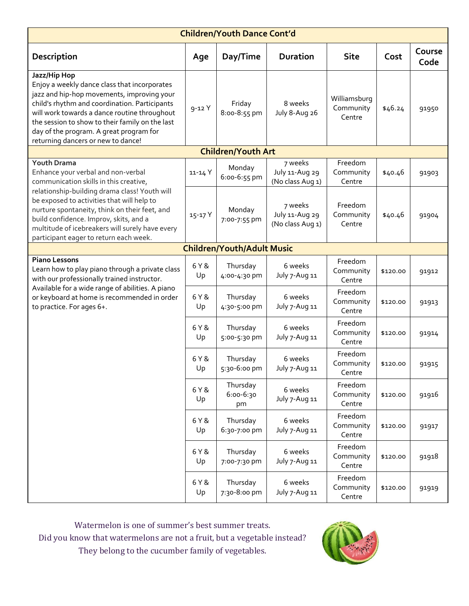| <b>Children/Youth Dance Cont'd</b>                                                                                                                                                                                                                                                                                                                                                        |             |                                   |                                               |                                     |          |                |  |
|-------------------------------------------------------------------------------------------------------------------------------------------------------------------------------------------------------------------------------------------------------------------------------------------------------------------------------------------------------------------------------------------|-------------|-----------------------------------|-----------------------------------------------|-------------------------------------|----------|----------------|--|
| Description                                                                                                                                                                                                                                                                                                                                                                               | Age         | Day/Time                          | <b>Duration</b>                               | <b>Site</b>                         | Cost     | Course<br>Code |  |
| Jazz/Hip Hop<br>Enjoy a weekly dance class that incorporates<br>jazz and hip-hop movements, improving your<br>child's rhythm and coordination. Participants<br>will work towards a dance routine throughout<br>the session to show to their family on the last<br>day of the program. A great program for<br>returning dancers or new to dance!                                           | $9 - 12Y$   | Friday<br>8:00-8:55 pm            | 8 weeks<br>July 8-Aug 26                      | Williamsburg<br>Community<br>Centre | \$46.24  | 91950          |  |
|                                                                                                                                                                                                                                                                                                                                                                                           |             | <b>Children/Youth Art</b>         |                                               |                                     |          |                |  |
| <b>Youth Drama</b><br>Enhance your verbal and non-verbal<br>communication skills in this creative,<br>relationship-building drama class! Youth will<br>be exposed to activities that will help to<br>nurture spontaneity, think on their feet, and<br>build confidence. Improv, skits, and a<br>multitude of icebreakers will surely have every<br>participant eager to return each week. | 11-14 Y     | Monday<br>6:00-6:55 pm            | 7 weeks<br>July 11-Aug 29<br>(No class Aug 1) | Freedom<br>Community<br>Centre      | \$40.46  | 91903          |  |
|                                                                                                                                                                                                                                                                                                                                                                                           | 15-17 Y     | Monday<br>7:00-7:55 pm            | 7 weeks<br>July 11-Aug 29<br>(No class Aug 1) | Freedom<br>Community<br>Centre      | \$40.46  | 91904          |  |
|                                                                                                                                                                                                                                                                                                                                                                                           |             | <b>Children/Youth/Adult Music</b> |                                               |                                     |          |                |  |
| <b>Piano Lessons</b><br>Learn how to play piano through a private class<br>with our professionally trained instructor.<br>Available for a wide range of abilities. A piano<br>or keyboard at home is recommended in order<br>to practice. For ages 6+.                                                                                                                                    | 6 Y &<br>Up | Thursday<br>4:00-4:30 pm          | 6 weeks<br>July 7-Aug 11                      | Freedom<br>Community<br>Centre      | \$120.00 | 91912          |  |
|                                                                                                                                                                                                                                                                                                                                                                                           | 6 Y &<br>Up | Thursday<br>4:30-5:00 pm          | 6 weeks<br>July 7-Aug 11                      | Freedom<br>Community<br>Centre      | \$120.00 | 91913          |  |
|                                                                                                                                                                                                                                                                                                                                                                                           | 6 Y &<br>Up | Thursday<br>5:00-5:30 pm          | 6 weeks<br>July 7-Aug 11                      | Freedom<br>Community<br>Centre      | \$120.00 | 91914          |  |
|                                                                                                                                                                                                                                                                                                                                                                                           | 6 Y &<br>Up | Thursday<br>5:30-6:00 pm          | 6 weeks<br>July 7-Aug 11                      | Freedom<br>Community<br>Centre      | \$120.00 | 91915          |  |
|                                                                                                                                                                                                                                                                                                                                                                                           | 6 Y &<br>Up | Thursday<br>$6:00 - 6:30$<br>pm   | 6 weeks<br>July 7-Aug 11                      | Freedom<br>Community<br>Centre      | \$120.00 | 91916          |  |
|                                                                                                                                                                                                                                                                                                                                                                                           | 6 Y &<br>Up | Thursday<br>6:30-7:00 pm          | 6 weeks<br>July 7-Aug 11                      | Freedom<br>Community<br>Centre      | \$120.00 | 91917          |  |
|                                                                                                                                                                                                                                                                                                                                                                                           | 6 Y &<br>Up | Thursday<br>7:00-7:30 pm          | 6 weeks<br>July 7-Aug 11                      | Freedom<br>Community<br>Centre      | \$120.00 | 91918          |  |
|                                                                                                                                                                                                                                                                                                                                                                                           | 6 Y &<br>Up | Thursday<br>7:30-8:00 pm          | 6 weeks<br>July 7-Aug 11                      | Freedom<br>Community<br>Centre      | \$120.00 | 91919          |  |

Watermelon is one of summer's best summer treats. Did you know that watermelons are not a fruit, but a vegetable instead? They belong to the cucumber family of vegetables.

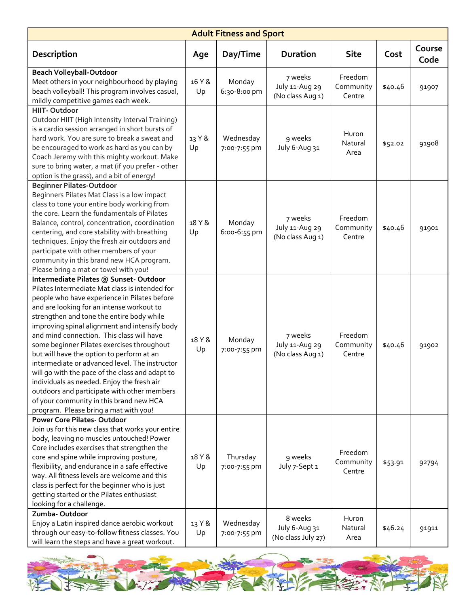| <b>Adult Fitness and Sport</b>                                                                                                                                                                                                                                                                                                                                                                                                                                                                                                                                                                                                                                                                                   |              |                           |                                                |                                |         |                |
|------------------------------------------------------------------------------------------------------------------------------------------------------------------------------------------------------------------------------------------------------------------------------------------------------------------------------------------------------------------------------------------------------------------------------------------------------------------------------------------------------------------------------------------------------------------------------------------------------------------------------------------------------------------------------------------------------------------|--------------|---------------------------|------------------------------------------------|--------------------------------|---------|----------------|
| Description                                                                                                                                                                                                                                                                                                                                                                                                                                                                                                                                                                                                                                                                                                      | Age          | Day/Time                  | <b>Duration</b>                                | <b>Site</b>                    | Cost    | Course<br>Code |
| <b>Beach Volleyball-Outdoor</b><br>Meet others in your neighbourhood by playing<br>beach volleyball! This program involves casual,<br>mildly competitive games each week.                                                                                                                                                                                                                                                                                                                                                                                                                                                                                                                                        | 16 Y &<br>Up | Monday<br>6:30-8:00 pm    | 7 weeks<br>July 11-Aug 29<br>(No class Aug 1)  | Freedom<br>Community<br>Centre | \$40.46 | 91907          |
| HIIT-Outdoor<br>Outdoor HIIT (High Intensity Interval Training)<br>is a cardio session arranged in short bursts of<br>hard work. You are sure to break a sweat and<br>be encouraged to work as hard as you can by<br>Coach Jeremy with this mighty workout. Make<br>sure to bring water, a mat (if you prefer - other<br>option is the grass), and a bit of energy!                                                                                                                                                                                                                                                                                                                                              | 13 Y &<br>Up | Wednesday<br>7:00-7:55 pm | 9 weeks<br>July 6-Aug 31                       | Huron<br>Natural<br>Area       | \$52.02 | 91908          |
| <b>Beginner Pilates-Outdoor</b><br>Beginners Pilates Mat Class is a low impact<br>class to tone your entire body working from<br>the core. Learn the fundamentals of Pilates<br>Balance, control, concentration, coordination<br>centering, and core stability with breathing<br>techniques. Enjoy the fresh air outdoors and<br>participate with other members of your<br>community in this brand new HCA program.<br>Please bring a mat or towel with you!                                                                                                                                                                                                                                                     | 18 Y &<br>Up | Monday<br>6:00-6:55 pm    | 7 weeks<br>July 11-Aug 29<br>(No class Aug 1)  | Freedom<br>Community<br>Centre | \$40.46 | 91901          |
| Intermediate Pilates @ Sunset-Outdoor<br>Pilates Intermediate Mat class is intended for<br>people who have experience in Pilates before<br>and are looking for an intense workout to<br>strengthen and tone the entire body while<br>improving spinal alignment and intensify body<br>and mind connection. This class will have<br>some beginner Pilates exercises throughout<br>but will have the option to perform at an<br>intermediate or advanced level. The instructor<br>will go with the pace of the class and adapt to<br>individuals as needed. Enjoy the fresh air<br>outdoors and participate with other members<br>of your community in this brand new HCA<br>program. Please bring a mat with you! | 18 Y &<br>Up | Monday<br>7:00-7:55 pm    | 7 weeks<br>July 11-Aug 29<br>(No class Aug 1)  | Freedom<br>Community<br>Centre | \$40.46 | 91902          |
| <b>Power Core Pilates-Outdoor</b><br>Join us for this new class that works your entire<br>body, leaving no muscles untouched! Power<br>Core includes exercises that strengthen the<br>core and spine while improving posture,<br>flexibility, and endurance in a safe effective<br>way. All fitness levels are welcome and this<br>class is perfect for the beginner who is just<br>getting started or the Pilates enthusiast<br>looking for a challenge.                                                                                                                                                                                                                                                        | 18 Y &<br>Up | Thursday<br>7:00-7:55 pm  | 9 weeks<br>July 7-Sept 1                       | Freedom<br>Community<br>Centre | \$53.91 | 92794          |
| Zumba-Outdoor<br>Enjoy a Latin inspired dance aerobic workout<br>through our easy-to-follow fitness classes. You<br>will learn the steps and have a great workout.                                                                                                                                                                                                                                                                                                                                                                                                                                                                                                                                               | 13 Y &<br>Up | Wednesday<br>7:00-7:55 pm | 8 weeks<br>July 6-Aug 31<br>(No class July 27) | Huron<br>Natural<br>Area       | \$46.24 | 91911          |